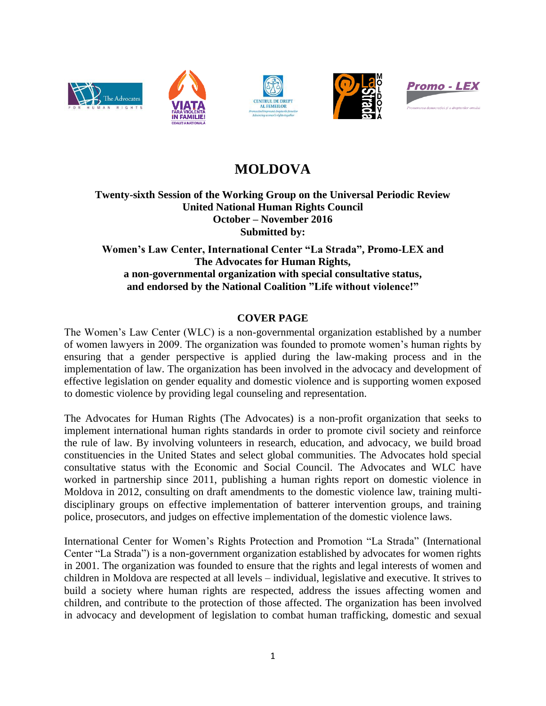

# **MOLDOVA**

## **Twenty-sixth Session of the Working Group on the Universal Periodic Review United National Human Rights Council October – November 2016 Submitted by:**

**Women's Law Center, International Center "La Strada", Promo-LEX and The Advocates for Human Rights, a non-governmental organization with special consultative status, and endorsed by the National Coalition "Life without violence!"**

## **COVER PAGE**

The Women's Law Center (WLC) is a non-governmental organization established by a number of women lawyers in 2009. The organization was founded to promote women's human rights by ensuring that a gender perspective is applied during the law-making process and in the implementation of law. The organization has been involved in the advocacy and development of effective legislation on gender equality and domestic violence and is supporting women exposed to domestic violence by providing legal counseling and representation.

The Advocates for Human Rights (The Advocates) is a non-profit organization that seeks to implement international human rights standards in order to promote civil society and reinforce the rule of law. By involving volunteers in research, education, and advocacy, we build broad constituencies in the United States and select global communities. The Advocates hold special consultative status with the Economic and Social Council. The Advocates and WLC have worked in partnership since 2011, publishing a human rights report on domestic violence in Moldova in 2012, consulting on draft amendments to the domestic violence law, training multidisciplinary groups on effective implementation of batterer intervention groups, and training police, prosecutors, and judges on effective implementation of the domestic violence laws.

International Center for Women's Rights Protection and Promotion "La Strada" (International Center "La Strada") is a non-government organization established by advocates for women rights in 2001. The organization was founded to ensure that the rights and legal interests of women and children in Moldova are respected at all levels – individual, legislative and executive. It strives to build a society where human rights are respected, address the issues affecting women and children, and contribute to the protection of those affected. The organization has been involved in advocacy and development of legislation to combat human trafficking, domestic and sexual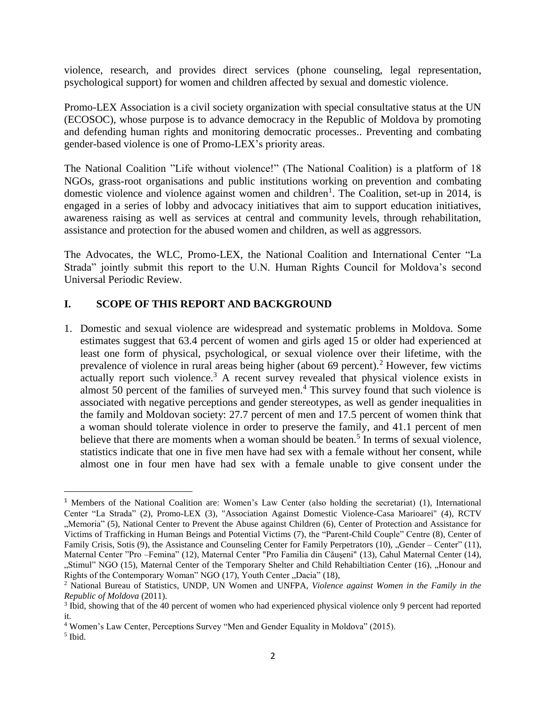violence, research, and provides direct services (phone counseling, legal representation, psychological support) for women and children affected by sexual and domestic violence.

Promo-LEX Association is a civil society organization with special consultative status at the UN (ECOSOC), whose purpose is to advance democracy in the Republic of Moldova by promoting and defending human rights and monitoring democratic processes.. Preventing and combating gender-based violence is one of Promo-LEX's priority areas.

The National Coalition "Life without violence!" (The National Coalition) is a platform of 18 NGOs, grass-root organisations and public institutions working on prevention and combating domestic violence and violence against women and children<sup>1</sup>. The Coalition, set-up in 2014, is engaged in a series of lobby and advocacy initiatives that aim to support education initiatives, awareness raising as well as services at central and community levels, through rehabilitation, assistance and protection for the abused women and children, as well as aggressors.

The Advocates, the WLC, Promo-LEX, the National Coalition and International Center "La Strada" jointly submit this report to the U.N. Human Rights Council for Moldova's second Universal Periodic Review.

## **I. SCOPE OF THIS REPORT AND BACKGROUND**

1. Domestic and sexual violence are widespread and systematic problems in Moldova. Some estimates suggest that 63.4 percent of women and girls aged 15 or older had experienced at least one form of physical, psychological, or sexual violence over their lifetime, with the prevalence of violence in rural areas being higher (about  $69$  percent).<sup>2</sup> However, few victims actually report such violence.<sup>3</sup> A recent survey revealed that physical violence exists in almost 50 percent of the families of surveyed men. <sup>4</sup> This survey found that such violence is associated with negative perceptions and gender stereotypes, as well as gender inequalities in the family and Moldovan society: 27.7 percent of men and 17.5 percent of women think that a woman should tolerate violence in order to preserve the family, and 41.1 percent of men believe that there are moments when a woman should be beaten.<sup>5</sup> In terms of sexual violence, statistics indicate that one in five men have had sex with a female without her consent, while almost one in four men have had sex with a female unable to give consent under the

<sup>1</sup> Members of the National Coalition are: Women's Law Center (also holding the secretariat) (1), International Center "La Strada" (2), Promo-LEX (3), "Association Against Domestic Violence-Casa Marioarei" (4), RCTV "Memoria" (5), National Center to Prevent the Abuse against Children (6), Center of Protection and Assistance for Victims of Trafficking in Human Beings and Potential Victims (7), the "Parent-Child Couple" Centre (8), Center of Family Crisis, Sotis (9), the Assistance and Counseling Center for Family Perpetrators (10), "Gender – Center" (11), Maternal Center "Pro –Femina" (12), Maternal Center "Pro Familia din Căuşeni" (13), Cahul Maternal Center (14), "Stimul" NGO (15), Maternal Center of the Temporary Shelter and Child Rehabiltiation Center (16), "Honour and Rights of the Contemporary Woman" NGO  $(17)$ , Youth Center "Dacia"  $(18)$ ,

<sup>2</sup> National Bureau of Statistics, UNDP, UN Women and UNFPA, *Violence against Women in the Family in the Republic of Moldova* (2011).

<sup>&</sup>lt;sup>3</sup> Ibid, showing that of the 40 percent of women who had experienced physical violence only 9 percent had reported it.

<sup>4</sup> Women's Law Center, Perceptions Survey "Men and Gender Equality in Moldova" (2015).

<sup>5</sup> Ibid.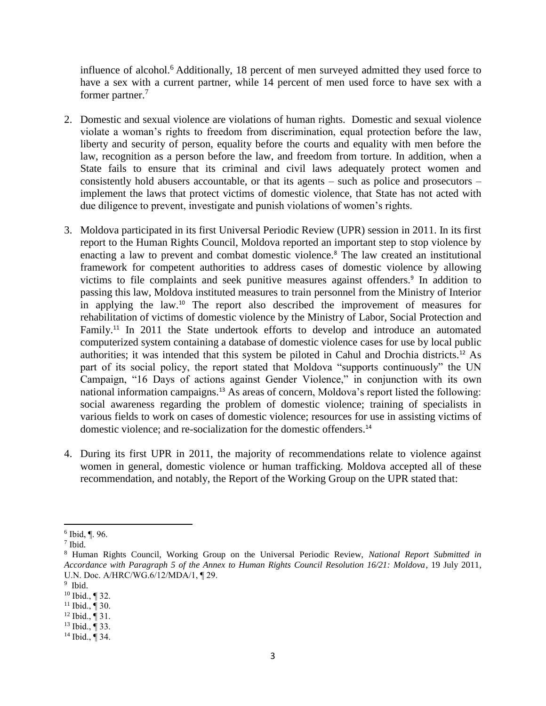influence of alcohol. <sup>6</sup> Additionally, 18 percent of men surveyed admitted they used force to have a sex with a current partner, while 14 percent of men used force to have sex with a former partner.<sup>7</sup>

- 2. Domestic and sexual violence are violations of human rights. Domestic and sexual violence violate a woman's rights to freedom from discrimination, equal protection before the law, liberty and security of person, equality before the courts and equality with men before the law, recognition as a person before the law, and freedom from torture. In addition, when a State fails to ensure that its criminal and civil laws adequately protect women and consistently hold abusers accountable, or that its agents – such as police and prosecutors – implement the laws that protect victims of domestic violence, that State has not acted with due diligence to prevent, investigate and punish violations of women's rights.
- 3. Moldova participated in its first Universal Periodic Review (UPR) session in 2011. In its first report to the Human Rights Council, Moldova reported an important step to stop violence by enacting a law to prevent and combat domestic violence.<sup>8</sup> The law created an institutional framework for competent authorities to address cases of domestic violence by allowing victims to file complaints and seek punitive measures against offenders.<sup>9</sup> In addition to passing this law, Moldova instituted measures to train personnel from the Ministry of Interior in applying the law.<sup>10</sup> The report also described the improvement of measures for rehabilitation of victims of domestic violence by the Ministry of Labor, Social Protection and Family.<sup>11</sup> In 2011 the State undertook efforts to develop and introduce an automated computerized system containing a database of domestic violence cases for use by local public authorities; it was intended that this system be piloted in Cahul and Drochia districts.<sup>12</sup> As part of its social policy, the report stated that Moldova "supports continuously" the UN Campaign, "16 Days of actions against Gender Violence," in conjunction with its own national information campaigns.<sup>13</sup> As areas of concern, Moldova's report listed the following: social awareness regarding the problem of domestic violence; training of specialists in various fields to work on cases of domestic violence; resources for use in assisting victims of domestic violence; and re-socialization for the domestic offenders.<sup>14</sup>
- 4. During its first UPR in 2011, the majority of recommendations relate to violence against women in general, domestic violence or human trafficking. Moldova accepted all of these recommendation, and notably, the Report of the Working Group on the UPR stated that:

 $\overline{a}$ 6 Ibid, ¶. 96.

<sup>7</sup> Ibid.

<sup>8</sup> Human Rights Council, Working Group on the Universal Periodic Review, *National Report Submitted in Accordance with Paragraph 5 of the Annex to Human Rights Council Resolution 16/21: Moldova*, 19 July 2011, U.N. Doc. A/HRC/WG.6/12/MDA/1, ¶ 29.

<sup>9</sup> Ibid.

<sup>10</sup> Ibid., ¶ 32.

 $11$  Ibid.,  $\overline{9}$  30.

 $12$  Ibid.,  $\overline{9}$  31.

<sup>13</sup> Ibid., ¶ 33.

 $14$  Ibid.,  $\P$  34.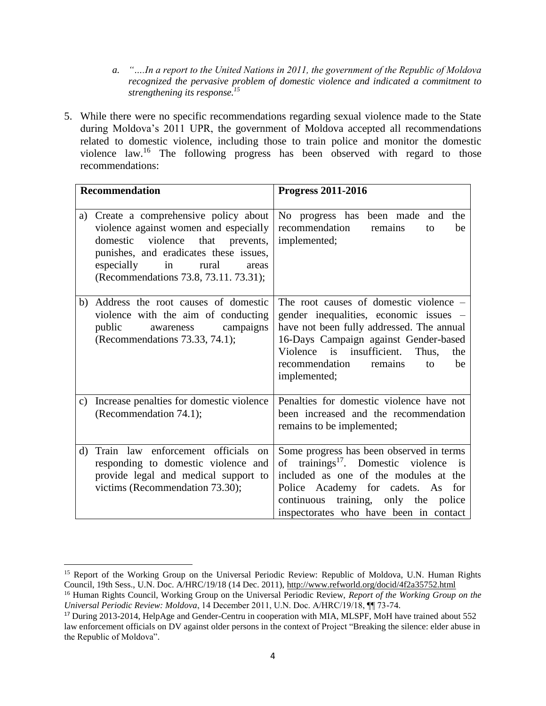*a. "….In a report to the United Nations in 2011, the government of the Republic of Moldova recognized the pervasive problem of domestic violence and indicated a commitment to strengthening its response.<sup>15</sup>*

5. While there were no specific recommendations regarding sexual violence made to the State during Moldova's 2011 UPR, the government of Moldova accepted all recommendations related to domestic violence, including those to train police and monitor the domestic violence law. <sup>16</sup> The following progress has been observed with regard to those recommendations:

| <b>Recommendation</b> |                                                                                                                                                                                                                                                       | <b>Progress 2011-2016</b>                                                                                                                                                                                                                                                    |
|-----------------------|-------------------------------------------------------------------------------------------------------------------------------------------------------------------------------------------------------------------------------------------------------|------------------------------------------------------------------------------------------------------------------------------------------------------------------------------------------------------------------------------------------------------------------------------|
|                       | a) Create a comprehensive policy about<br>violence against women and especially<br>violence<br>that<br>domestic<br>prevents,<br>punishes, and eradicates these issues,<br>especially<br>rural<br>in<br>areas<br>(Recommendations 73.8, 73.11. 73.31); | No progress has been made and the<br>recommendation<br>remains<br>be<br>to<br>implemented;                                                                                                                                                                                   |
| b)                    | Address the root causes of domestic<br>violence with the aim of conducting<br>public<br>awareness campaigns<br>(Recommendations 73.33, 74.1);                                                                                                         | The root causes of domestic violence -<br>gender inequalities, economic issues –<br>have not been fully addressed. The annual<br>16-Days Campaign against Gender-based<br>Violence is insufficient.<br>Thus,<br>the<br>recommendation<br>remains<br>be<br>to<br>implemented; |
| C)                    | Increase penalties for domestic violence<br>(Recommendation 74.1);                                                                                                                                                                                    | Penalties for domestic violence have not<br>been increased and the recommendation<br>remains to be implemented;                                                                                                                                                              |
| d)                    | Train law enforcement officials<br>$\alpha$<br>responding to domestic violence and<br>provide legal and medical support to<br>victims (Recommendation 73.30);                                                                                         | Some progress has been observed in terms<br>of trainings <sup>17</sup> . Domestic violence is<br>included as one of the modules at the<br>Police Academy for cadets. As<br>for<br>continuous training, only the police<br>inspectorates who have been in contact             |

 $\overline{\phantom{a}}$ <sup>15</sup> Report of the Working Group on the Universal Periodic Review: Republic of Moldova, U.N. Human Rights Council, 19th Sess., U.N. Doc. A/HRC/19/18 (14 Dec. 2011)[, http://www.refworld.org/docid/4f2a35752.html](http://www.refworld.org/docid/4f2a35752.html)

<sup>16</sup> Human Rights Council, Working Group on the Universal Periodic Review, *Report of the Working Group on the Universal Periodic Review: Moldova*, 14 December 2011, U.N. Doc. A/HRC/19/18, ¶¶ 73-74.

<sup>&</sup>lt;sup>17</sup> During 2013-2014, HelpAge and Gender-Centru in cooperation with MIA, MLSPF, MoH have trained about 552 law enforcement officials on DV against older persons in the context of Project "Breaking the silence: elder abuse in the Republic of Moldova".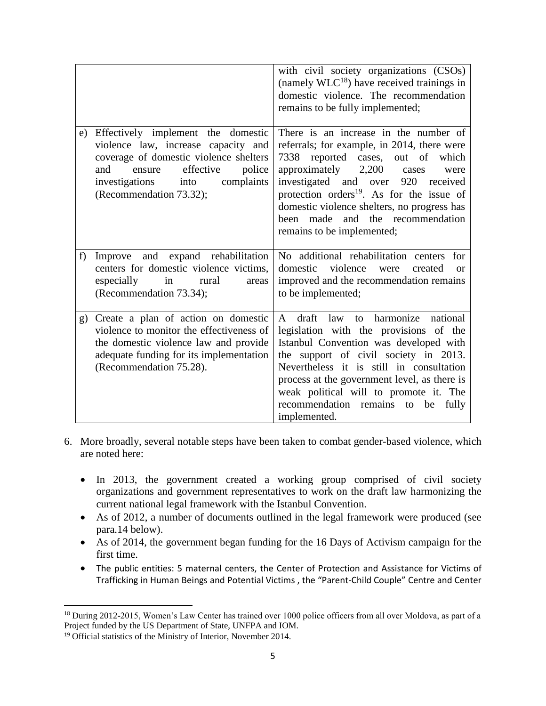|    |                                                                                                                                                                                                                                | with civil society organizations (CSOs)<br>(namely $W18$ ) have received trainings in<br>domestic violence. The recommendation<br>remains to be fully implemented;                                                                                                                                                                                                                           |
|----|--------------------------------------------------------------------------------------------------------------------------------------------------------------------------------------------------------------------------------|----------------------------------------------------------------------------------------------------------------------------------------------------------------------------------------------------------------------------------------------------------------------------------------------------------------------------------------------------------------------------------------------|
| e) | Effectively implement the domestic<br>violence law, increase capacity and<br>coverage of domestic violence shelters<br>effective<br>and<br>police<br>ensure<br>complaints<br>investigations<br>into<br>(Recommendation 73.32); | There is an increase in the number of<br>referrals; for example, in 2014, there were<br>7338 reported cases, out of<br>which<br>approximately $2,200$<br>cases<br>were<br>investigated and over<br>920 received<br>protection orders <sup>19</sup> . As for the issue of<br>domestic violence shelters, no progress has<br>and the recommendation<br>been made<br>remains to be implemented; |
| f  | Improve and expand rehabilitation<br>centers for domestic violence victims,<br>especially<br>in<br>rural<br>areas<br>(Recommendation 73.34);                                                                                   | No additional rehabilitation centers for<br>domestic<br>violence<br>created<br>were<br>$\alpha$<br>improved and the recommendation remains<br>to be implemented;                                                                                                                                                                                                                             |
| g) | Create a plan of action on domestic<br>violence to monitor the effectiveness of<br>the domestic violence law and provide<br>adequate funding for its implementation<br>(Recommendation 75.28).                                 | A draft law to harmonize national<br>legislation with the provisions of the<br>Istanbul Convention was developed with<br>the support of civil society in 2013.<br>Nevertheless it is still in consultation<br>process at the government level, as there is<br>weak political will to promote it. The<br>recommendation remains<br>be<br>fully<br>to<br>implemented.                          |

- 6. More broadly, several notable steps have been taken to combat gender-based violence, which are noted here:
	- In 2013, the government created a working group comprised of civil society organizations and government representatives to work on the draft law harmonizing the current national legal framework with the Istanbul Convention.
	- As of 2012, a number of documents outlined in the legal framework were produced (see para.14 below).
	- As of 2014, the government began funding for the 16 Days of Activism campaign for the first time.
	- The public entities: 5 maternal centers, the Center of Protection and Assistance for Victims of Trafficking in Human Beings and Potential Victims , the "Parent-Child Couple" Centre and Center

 $\overline{\phantom{a}}$ <sup>18</sup> During 2012-2015, Women's Law Center has trained over 1000 police officers from all over Moldova, as part of a Project funded by the US Department of State, UNFPA and IOM.

<sup>19</sup> Official statistics of the Ministry of Interior, November 2014.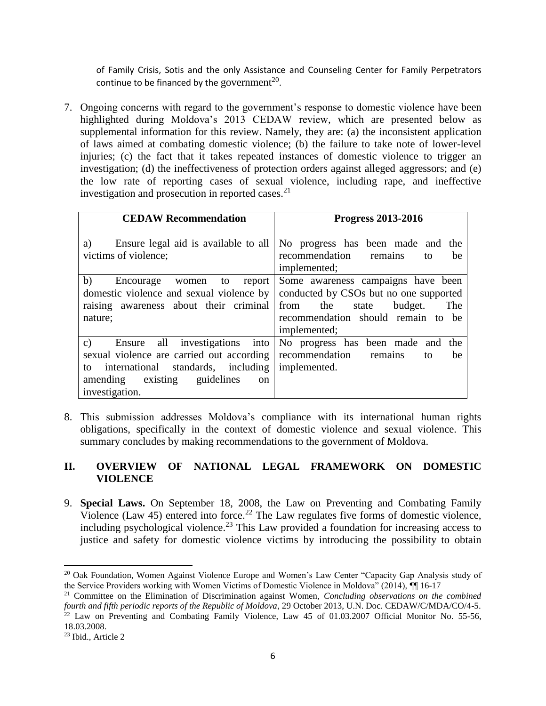of Family Crisis, Sotis and the only Assistance and Counseling Center for Family Perpetrators continue to be financed by the government<sup>20</sup>.

7. Ongoing concerns with regard to the government's response to domestic violence have been highlighted during Moldova's 2013 CEDAW review, which are presented below as supplemental information for this review. Namely, they are: (a) the inconsistent application of laws aimed at combating domestic violence; (b) the failure to take note of lower-level injuries; (c) the fact that it takes repeated instances of domestic violence to trigger an investigation; (d) the ineffectiveness of protection orders against alleged aggressors; and (e) the low rate of reporting cases of sexual violence, including rape, and ineffective investigation and prosecution in reported cases. 21

| <b>CEDAW Recommendation</b>                                                                                                                                                                                        | <b>Progress 2013-2016</b>                                                                                                                                                    |
|--------------------------------------------------------------------------------------------------------------------------------------------------------------------------------------------------------------------|------------------------------------------------------------------------------------------------------------------------------------------------------------------------------|
| Ensure legal aid is available to all<br>a)<br>victims of violence;                                                                                                                                                 | No progress has been made and the<br>recommendation<br>remains<br>be<br>to<br>implemented;                                                                                   |
| b)<br>Encourage<br>report<br>to<br>women<br>domestic violence and sexual violence by<br>raising awareness about their criminal<br>nature;                                                                          | Some awareness campaigns have been<br>conducted by CSOs but no one supported<br>The<br>the<br>budget.<br>from<br>state<br>recommendation should remain to be<br>implemented; |
| all investigations into<br>$\mathbf{c}$ )<br>Ensure<br>sexual violence are carried out according<br>international standards, including<br>to<br>existing guidelines<br>amending<br><sub>on</sub><br>investigation. | No progress has been made and<br>the<br>recommendation<br>remains<br>be<br>to<br>implemented.                                                                                |

8. This submission addresses Moldova's compliance with its international human rights obligations, specifically in the context of domestic violence and sexual violence. This summary concludes by making recommendations to the government of Moldova.

#### **II. OVERVIEW OF NATIONAL LEGAL FRAMEWORK ON DOMESTIC VIOLENCE**

9. **Special Laws.** On September 18, 2008, the Law on Preventing and Combating Family Violence (Law 45) entered into force.<sup>22</sup> The Law regulates five forms of domestic violence, including psychological violence. <sup>23</sup> This Law provided a foundation for increasing access to justice and safety for domestic violence victims by introducing the possibility to obtain

<sup>&</sup>lt;sup>20</sup> Oak Foundation, Women Against Violence Europe and Women's Law Center "Capacity Gap Analysis study of the Service Providers working with Women Victims of Domestic Violence in Moldova" (2014), ¶¶ 16-17

<sup>21</sup> Committee on the Elimination of Discrimination against Women, *Concluding observations on the combined fourth and fifth periodic reports of the Republic of Moldova*, 29 October 2013, U.N. Doc. CEDAW/C/MDA/CO/4-5.  $22$  Law on Preventing and Combating Family Violence, Law 45 of 01.03.2007 Official Monitor No. 55-56, 18.03.2008.

<sup>23</sup> Ibid., Article 2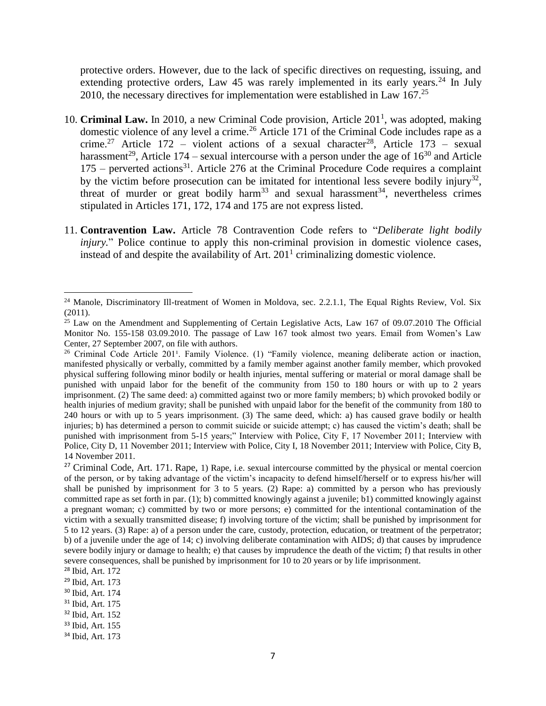protective orders. However, due to the lack of specific directives on requesting, issuing, and extending protective orders, Law 45 was rarely implemented in its early years.<sup>24</sup> In July 2010, the necessary directives for implementation were established in Law  $167<sup>25</sup>$ 

- 10. **Criminal Law.** In 2010, a new Criminal Code provision, Article 201<sup>1</sup>, was adopted, making domestic violence of any level a crime.<sup>26</sup> Article 171 of the Criminal Code includes rape as a crime.<sup>27</sup> Article 172 – violent actions of a sexual character<sup>28</sup>, Article 173 – sexual harassment<sup>29</sup>, Article 174 – sexual intercourse with a person under the age of  $16^{30}$  and Article  $175$  – perverted actions<sup>31</sup>. Article 276 at the Criminal Procedure Code requires a complaint by the victim before prosecution can be imitated for intentional less severe bodily injury<sup>32</sup>, threat of murder or great bodily harm<sup>33</sup> and sexual harassment<sup>34</sup>, nevertheless crimes stipulated in Articles 171, 172, 174 and 175 are not express listed.
- 11. **Contravention Law.** Article 78 Contravention Code refers to "*Deliberate light bodily injury.*" Police continue to apply this non-criminal provision in domestic violence cases, instead of and despite the availability of Art.  $201<sup>1</sup>$  criminalizing domestic violence.

<sup>&</sup>lt;sup>24</sup> Manole, Discriminatory Ill-treatment of Women in Moldova, sec. 2.2.1.1, The Equal Rights Review, Vol. Six (2011).

<sup>&</sup>lt;sup>25</sup> Law on the Amendment and Supplementing of Certain Legislative Acts, Law 167 of 09.07.2010 The Official Monitor No. 155-158 03.09.2010. The passage of Law 167 took almost two years. Email from Women's Law Center, 27 September 2007, on file with authors.

<sup>&</sup>lt;sup>26</sup> Criminal Code Article 201<sup>1</sup>. Family Violence. (1) "Family violence, meaning deliberate action or inaction, manifested physically or verbally, committed by a family member against another family member, which provoked physical suffering following minor bodily or health injuries, mental suffering or material or moral damage shall be punished with unpaid labor for the benefit of the community from 150 to 180 hours or with up to 2 years imprisonment. (2) The same deed: a) committed against two or more family members; b) which provoked bodily or health injuries of medium gravity; shall be punished with unpaid labor for the benefit of the community from 180 to 240 hours or with up to 5 years imprisonment. (3) The same deed, which: a) has caused grave bodily or health injuries; b) has determined a person to commit suicide or suicide attempt; c) has caused the victim's death; shall be punished with imprisonment from 5-15 years;" Interview with Police, City F, 17 November 2011; Interview with Police, City D, 11 November 2011; Interview with Police, City I, 18 November 2011; Interview with Police, City B, 14 November 2011.

<sup>&</sup>lt;sup>27</sup> Criminal Code, Art. 171. Rape, 1) Rape, i.e. sexual intercourse committed by the physical or mental coercion of the person, or by taking advantage of the victim's incapacity to defend himself/herself or to express his/her will shall be punished by imprisonment for 3 to 5 years. (2) Rape: a) committed by a person who has previously committed rape as set forth in par. (1); b) committed knowingly against a juvenile; b1) committed knowingly against a pregnant woman; c) committed by two or more persons; e) committed for the intentional contamination of the victim with a sexually transmitted disease; f) involving torture of the victim; shall be punished by imprisonment for 5 to 12 years. (3) Rape: a) of a person under the care, custody, protection, education, or treatment of the perpetrator; b) of a juvenile under the age of 14; c) involving deliberate contamination with AIDS; d) that causes by imprudence severe bodily injury or damage to health; e) that causes by imprudence the death of the victim; f) that results in other severe consequences, shall be punished by imprisonment for 10 to 20 years or by life imprisonment.

<sup>28</sup> Ibid, Art. 172

<sup>29</sup> Ibid, Art. 173

<sup>30</sup> Ibid, Art. 174

<sup>31</sup> Ibid, Art. 175

<sup>32</sup> Ibid, Art. 152

<sup>33</sup> Ibid, Art. 155

<sup>34</sup> Ibid, Art. 173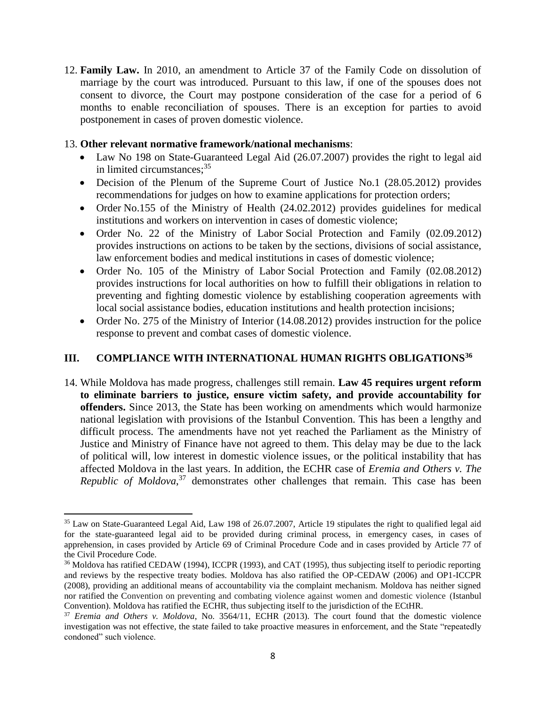12. **Family Law.** In 2010, an amendment to Article 37 of the Family Code on dissolution of marriage by the court was introduced. Pursuant to this law, if one of the spouses does not consent to divorce, the Court may postpone consideration of the case for a period of 6 months to enable reconciliation of spouses. There is an exception for parties to avoid postponement in cases of proven domestic violence.

#### 13. **Other relevant normative framework/national mechanisms**:

- Law No 198 on State-Guaranteed Legal Aid (26.07.2007) provides the right to legal aid in limited circumstances; 35
- Decision of the Plenum of the Supreme Court of Justice No.1 (28.05.2012) provides recommendations for judges on how to examine applications for protection orders;
- Order No.155 of the Ministry of Health (24.02.2012) provides guidelines for medical institutions and workers on intervention in cases of domestic violence;
- Order No. 22 of the Ministry of Labor Social Protection and Family (02.09.2012) provides instructions on actions to be taken by the sections, divisions of social assistance, law enforcement bodies and medical institutions in cases of domestic violence;
- Order No. 105 of the Ministry of Labor Social Protection and Family (02.08.2012) provides instructions for local authorities on how to fulfill their obligations in relation to preventing and fighting domestic violence by establishing cooperation agreements with local social assistance bodies, education institutions and health protection incisions;
- Order No. 275 of the Ministry of Interior (14.08.2012) provides instruction for the police response to prevent and combat cases of domestic violence.

#### **III. COMPLIANCE WITH INTERNATIONAL HUMAN RIGHTS OBLIGATIONS<sup>36</sup>**

14. While Moldova has made progress, challenges still remain. **Law 45 requires urgent reform to eliminate barriers to justice, ensure victim safety, and provide accountability for offenders.** Since 2013, the State has been working on amendments which would harmonize national legislation with provisions of the Istanbul Convention. This has been a lengthy and difficult process. The amendments have not yet reached the Parliament as the Ministry of Justice and Ministry of Finance have not agreed to them. This delay may be due to the lack of political will, low interest in domestic violence issues, or the political instability that has affected Moldova in the last years. In addition, the ECHR case of *Eremia and Others v. The Republic of Moldova*, <sup>37</sup> demonstrates other challenges that remain. This case has been

l

<sup>35</sup> Law on State-Guaranteed Legal Aid, Law 198 of 26.07.2007, Article 19 stipulates the right to qualified legal aid for the state-guaranteed legal aid to be provided during criminal process, in emergency cases, in cases of apprehension, in cases provided by Article 69 of Criminal Procedure Code and in cases provided by Article 77 of the Civil Procedure Code.

<sup>&</sup>lt;sup>36</sup> Moldova has ratified CEDAW (1994), ICCPR (1993), and CAT (1995), thus subjecting itself to periodic reporting and reviews by the respective treaty bodies. Moldova has also ratified the OP-CEDAW (2006) and OP1-ICCPR (2008), providing an additional means of accountability via the complaint mechanism. Moldova has neither signed nor ratified the Convention on preventing and combating violence against women and domestic violence (Istanbul Convention). Moldova has ratified the ECHR, thus subjecting itself to the jurisdiction of the ECtHR.

<sup>37</sup> *Eremia and Others v. Moldova*, No. 3564/11, ECHR (2013). The court found that the domestic violence investigation was not effective, the state failed to take proactive measures in enforcement, and the State "repeatedly condoned" such violence.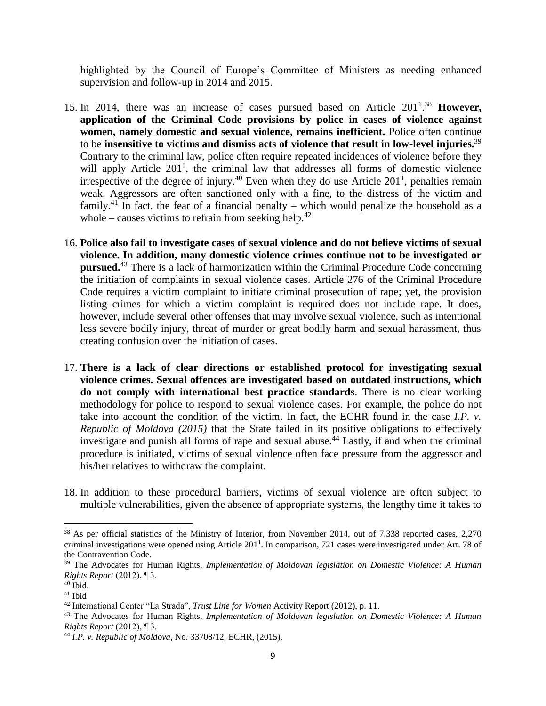highlighted by the Council of Europe's Committee of Ministers as needing enhanced supervision and follow-up in 2014 and 2015.

- 15. In 2014, there was an increase of cases pursued based on Article 201<sup>1</sup>.<sup>38</sup> However, **application of the Criminal Code provisions by police in cases of violence against women, namely domestic and sexual violence, remains inefficient.** Police often continue to be **insensitive to victims and dismiss acts of violence that result in low-level injuries.**<sup>39</sup> Contrary to the criminal law, police often require repeated incidences of violence before they will apply Article  $201<sup>1</sup>$ , the criminal law that addresses all forms of domestic violence irrespective of the degree of injury.<sup>40</sup> Even when they do use Article  $201<sup>1</sup>$ , penalties remain weak. Aggressors are often sanctioned only with a fine, to the distress of the victim and family.<sup>41</sup> In fact, the fear of a financial penalty – which would penalize the household as a whole – causes victims to refrain from seeking help.<sup>42</sup>
- 16. **Police also fail to investigate cases of sexual violence and do not believe victims of sexual violence. In addition, many domestic violence crimes continue not to be investigated or pursued.**<sup>43</sup> There is a lack of harmonization within the Criminal Procedure Code concerning the initiation of complaints in sexual violence cases. Article 276 of the Criminal Procedure Code requires a victim complaint to initiate criminal prosecution of rape; yet, the provision listing crimes for which a victim complaint is required does not include rape. It does, however, include several other offenses that may involve sexual violence, such as intentional less severe bodily injury, threat of murder or great bodily harm and sexual harassment, thus creating confusion over the initiation of cases.
- 17. **There is a lack of clear directions or established protocol for investigating sexual violence crimes. Sexual offences are investigated based on outdated instructions, which do not comply with international best practice standards**. There is no clear working methodology for police to respond to sexual violence cases. For example, the police do not take into account the condition of the victim. In fact, the ECHR found in the case *I.P. v. Republic of Moldova (2015)* that the State failed in its positive obligations to effectively investigate and punish all forms of rape and sexual abuse.<sup>44</sup> Lastly, if and when the criminal procedure is initiated, victims of sexual violence often face pressure from the aggressor and his/her relatives to withdraw the complaint.
- 18. In addition to these procedural barriers, victims of sexual violence are often subject to multiple vulnerabilities, given the absence of appropriate systems, the lengthy time it takes to

 $\overline{a}$ 

<sup>38</sup> As per official statistics of the Ministry of Interior, from November 2014, out of 7,338 reported cases, 2,270 criminal investigations were opened using Article 201 1 . In comparison, 721 cases were investigated under Art. 78 of the Contravention Code.

<sup>39</sup> The Advocates for Human Rights, *Implementation of Moldovan legislation on Domestic Violence: A Human Rights Report* (2012), ¶ 3.

 $40$  Ibid.

 $41$  Ibid

<sup>42</sup> International Center "La Strada", *Trust Line for Women* Activity Report (2012), p. 11.

<sup>43</sup> The Advocates for Human Rights, *Implementation of Moldovan legislation on Domestic Violence: A Human Rights Report* (2012), ¶ 3.

<sup>44</sup> *I.P. v. Republic of Moldova*, No. 33708/12, ECHR, (2015).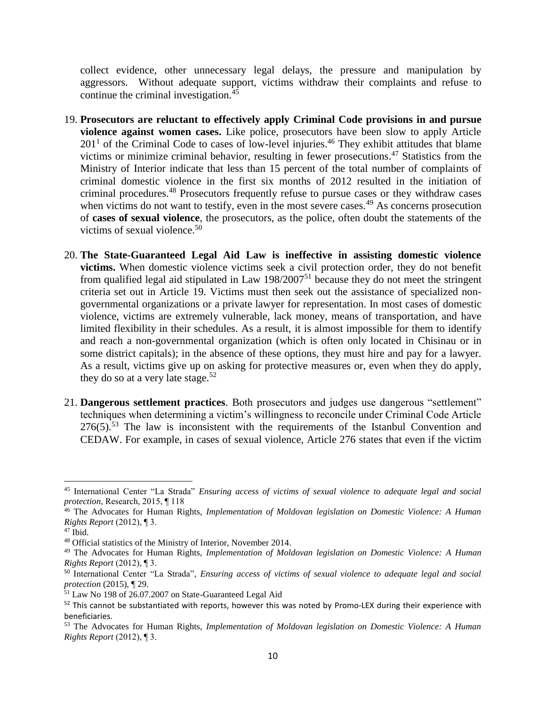collect evidence, other unnecessary legal delays, the pressure and manipulation by aggressors. Without adequate support, victims withdraw their complaints and refuse to continue the criminal investigation. 45

- 19. **Prosecutors are reluctant to effectively apply Criminal Code provisions in and pursue violence against women cases.** Like police, prosecutors have been slow to apply Article  $201<sup>1</sup>$  of the Criminal Code to cases of low-level injuries.<sup>46</sup> They exhibit attitudes that blame victims or minimize criminal behavior, resulting in fewer prosecutions. <sup>47</sup> Statistics from the Ministry of Interior indicate that less than 15 percent of the total number of complaints of criminal domestic violence in the first six months of 2012 resulted in the initiation of criminal procedures.<sup>48</sup> Prosecutors frequently refuse to pursue cases or they withdraw cases when victims do not want to testify, even in the most severe cases.<sup>49</sup> As concerns prosecution of **cases of sexual violence**, the prosecutors, as the police, often doubt the statements of the victims of sexual violence. $50$
- 20. **The State-Guaranteed Legal Aid Law is ineffective in assisting domestic violence victims.** When domestic violence victims seek a civil protection order, they do not benefit from qualified legal aid stipulated in Law  $198/2007^{51}$  because they do not meet the stringent criteria set out in Article 19. Victims must then seek out the assistance of specialized nongovernmental organizations or a private lawyer for representation. In most cases of domestic violence, victims are extremely vulnerable, lack money, means of transportation, and have limited flexibility in their schedules. As a result, it is almost impossible for them to identify and reach a non-governmental organization (which is often only located in Chisinau or in some district capitals); in the absence of these options, they must hire and pay for a lawyer. As a result, victims give up on asking for protective measures or, even when they do apply, they do so at a very late stage.<sup>52</sup>
- 21. **Dangerous settlement practices**. Both prosecutors and judges use dangerous "settlement" techniques when determining a victim's willingness to reconcile under Criminal Code Article  $276(5)$ .<sup>53</sup> The law is inconsistent with the requirements of the Istanbul Convention and CEDAW. For example, in cases of sexual violence, Article 276 states that even if the victim

<sup>45</sup> International Center "La Strada" *Ensuring access of victims of sexual violence to adequate legal and social protection*, Research, 2015, ¶ 118

<sup>46</sup> The Advocates for Human Rights, *Implementation of Moldovan legislation on Domestic Violence: A Human Rights Report* (2012), ¶ 3.

<sup>47</sup> Ibid.

<sup>48</sup> Official statistics of the Ministry of Interior, November 2014.

<sup>49</sup> The Advocates for Human Rights, *Implementation of Moldovan legislation on Domestic Violence: A Human Rights Report* (2012), ¶ 3.

<sup>50</sup> International Center "La Strada", *Ensuring access of victims of sexual violence to adequate legal and social protection* (2015), ¶ 29.

<sup>&</sup>lt;sup>51</sup> Law No 198 of 26.07.2007 on State-Guaranteed Legal Aid

 $52$  This cannot be substantiated with reports, however this was noted by Promo-LEX during their experience with beneficiaries.

<sup>53</sup> The Advocates for Human Rights, *Implementation of Moldovan legislation on Domestic Violence: A Human Rights Report* (2012), ¶ 3.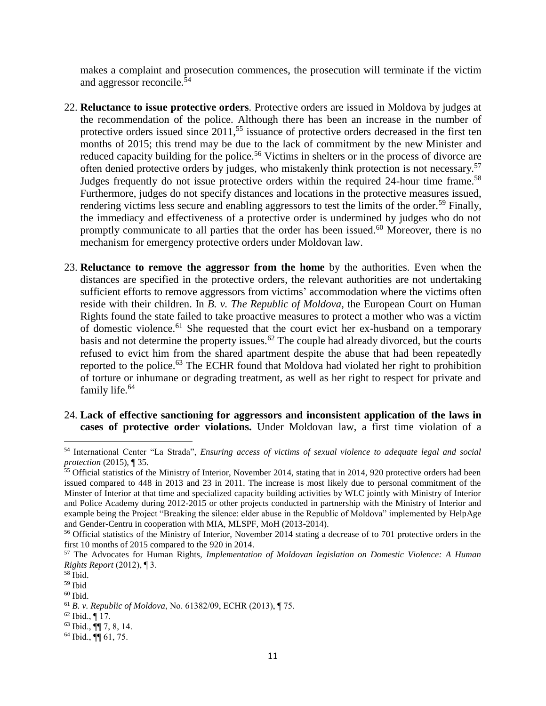makes a complaint and prosecution commences, the prosecution will terminate if the victim and aggressor reconcile.<sup>54</sup>

- 22. **Reluctance to issue protective orders**. Protective orders are issued in Moldova by judges at the recommendation of the police. Although there has been an increase in the number of protective orders issued since 2011,<sup>55</sup> issuance of protective orders decreased in the first ten months of 2015; this trend may be due to the lack of commitment by the new Minister and reduced capacity building for the police.<sup>56</sup> Victims in shelters or in the process of divorce are often denied protective orders by judges, who mistakenly think protection is not necessary.<sup>57</sup> Judges frequently do not issue protective orders within the required 24-hour time frame.<sup>58</sup> Furthermore, judges do not specify distances and locations in the protective measures issued, rendering victims less secure and enabling aggressors to test the limits of the order.<sup>59</sup> Finally, the immediacy and effectiveness of a protective order is undermined by judges who do not promptly communicate to all parties that the order has been issued.<sup>60</sup> Moreover, there is no mechanism for emergency protective orders under Moldovan law.
- 23. **Reluctance to remove the aggressor from the home** by the authorities. Even when the distances are specified in the protective orders, the relevant authorities are not undertaking sufficient efforts to remove aggressors from victims' accommodation where the victims often reside with their children. In *B. v. The Republic of Moldova*, the European Court on Human Rights found the state failed to take proactive measures to protect a mother who was a victim of domestic violence.<sup>61</sup> She requested that the court evict her ex-husband on a temporary basis and not determine the property issues.<sup>62</sup> The couple had already divorced, but the courts refused to evict him from the shared apartment despite the abuse that had been repeatedly reported to the police.<sup>63</sup> The ECHR found that Moldova had violated her right to prohibition of torture or inhumane or degrading treatment, as well as her right to respect for private and family life.<sup>64</sup>
- 24. **Lack of effective sanctioning for aggressors and inconsistent application of the laws in cases of protective order violations.** Under Moldovan law, a first time violation of a

<sup>54</sup> International Center "La Strada", *Ensuring access of victims of sexual violence to adequate legal and social protection* (2015), ¶ 35.

 $55$  Official statistics of the Ministry of Interior, November 2014, stating that in 2014, 920 protective orders had been issued compared to 448 in 2013 and 23 in 2011. The increase is most likely due to personal commitment of the Minster of Interior at that time and specialized capacity building activities by WLC jointly with Ministry of Interior and Police Academy during 2012-2015 or other projects conducted in partnership with the Ministry of Interior and example being the Project "Breaking the silence: elder abuse in the Republic of Moldova" implemented by HelpAge and Gender-Centru in cooperation with MIA, MLSPF, MoH (2013-2014).

<sup>&</sup>lt;sup>56</sup> Official statistics of the Ministry of Interior, November 2014 stating a decrease of to 701 protective orders in the first 10 months of 2015 compared to the 920 in 2014.

<sup>57</sup> The Advocates for Human Rights, *Implementation of Moldovan legislation on Domestic Violence: A Human Rights Report* (2012), ¶ 3.

 $58$  Ibid.

<sup>59</sup> Ibid

 $60$  Ibid.

<sup>61</sup> *B. v. Republic of Moldova*, No. 61382/09, ECHR (2013), ¶ 75.

 $62$  Ibid., ¶ 17.

<sup>63</sup> Ibid., ¶¶ 7, 8, 14.

<sup>64</sup> Ibid., ¶¶ 61, 75.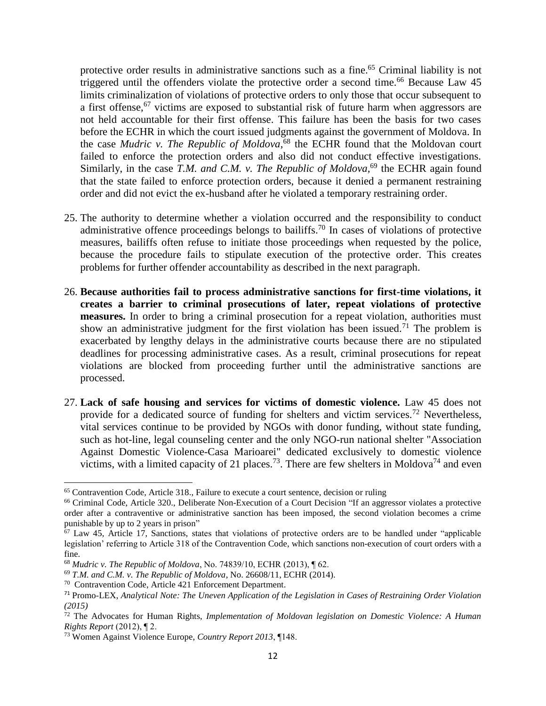protective order results in administrative sanctions such as a fine.<sup>65</sup> Criminal liability is not triggered until the offenders violate the protective order a second time.<sup>66</sup> Because Law  $45$ limits criminalization of violations of protective orders to only those that occur subsequent to a first offense,<sup>67</sup> victims are exposed to substantial risk of future harm when aggressors are not held accountable for their first offense. This failure has been the basis for two cases before the ECHR in which the court issued judgments against the government of Moldova. In the case *Mudric v. The Republic of Moldova*, <sup>68</sup> the ECHR found that the Moldovan court failed to enforce the protection orders and also did not conduct effective investigations. Similarly, in the case *T.M. and C.M. v. The Republic of Moldova*<sup>69</sup> the ECHR again found that the state failed to enforce protection orders, because it denied a permanent restraining order and did not evict the ex-husband after he violated a temporary restraining order.

- 25. The authority to determine whether a violation occurred and the responsibility to conduct administrative offence proceedings belongs to bailiffs.<sup>70</sup> In cases of violations of protective measures, bailiffs often refuse to initiate those proceedings when requested by the police, because the procedure fails to stipulate execution of the protective order. This creates problems for further offender accountability as described in the next paragraph.
- 26. **Because authorities fail to process administrative sanctions for first-time violations, it creates a barrier to criminal prosecutions of later, repeat violations of protective measures.** In order to bring a criminal prosecution for a repeat violation, authorities must show an administrative judgment for the first violation has been issued.<sup>71</sup> The problem is exacerbated by lengthy delays in the administrative courts because there are no stipulated deadlines for processing administrative cases. As a result, criminal prosecutions for repeat violations are blocked from proceeding further until the administrative sanctions are processed.
- 27. **Lack of safe housing and services for victims of domestic violence.** Law 45 does not provide for a dedicated source of funding for shelters and victim services.<sup>72</sup> Nevertheless, vital services continue to be provided by NGOs with donor funding, without state funding, such as hot-line, legal counseling center and the only NGO-run national shelter "Association Against Domestic Violence-Casa Marioarei" dedicated exclusively to domestic violence victims, with a limited capacity of 21 places.<sup>73</sup>. There are few shelters in Moldova<sup>74</sup> and even

<sup>65</sup> Contravention Code, Article 318., Failure to execute a court sentence, decision or ruling

<sup>66</sup> Criminal Code, Article 320., Deliberate Non-Execution of a Court Decision "If an aggressor violates a protective order after a contraventive or administrative sanction has been imposed, the second violation becomes a crime punishable by up to 2 years in prison"

 $67$  Law 45, Article 17, Sanctions, states that violations of protective orders are to be handled under "applicable" legislation' referring to Article 318 of the Contravention Code, which sanctions non-execution of court orders with a fine.

<sup>68</sup> *Mudric v. The Republic of Moldova*, No. 74839/10, ECHR (2013), ¶ 62.

<sup>69</sup> *T.M. and C.M. v. The Republic of Moldova*, No. 26608/11, ECHR (2014).

<sup>70</sup> Contravention Code, Article 421 Enforcement Department.

<sup>71</sup> Promo-LEX, *Analytical Note: The Uneven Application of the Legislation in Cases of Restraining Order Violation (2015)* 

<sup>72</sup> The Advocates for Human Rights, *Implementation of Moldovan legislation on Domestic Violence: A Human Rights Report* (2012), ¶ 2.

<sup>73</sup> Women Against Violence Europe, *Country Report 2013*, ¶148.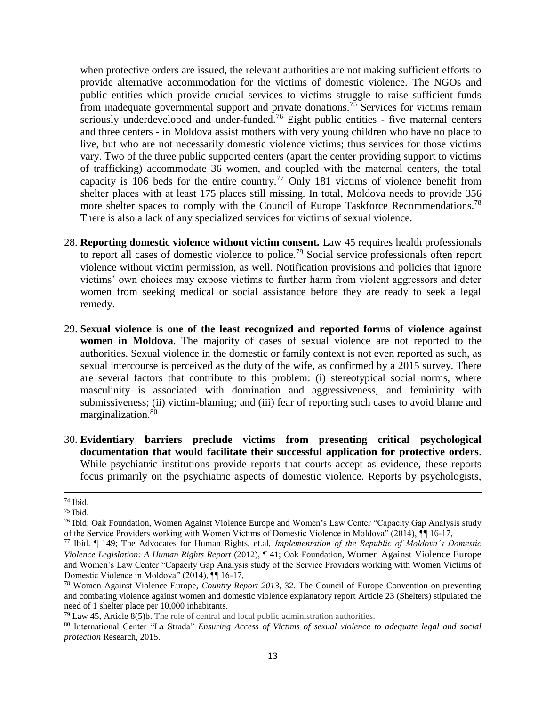when protective orders are issued, the relevant authorities are not making sufficient efforts to provide alternative accommodation for the victims of domestic violence. The NGOs and public entities which provide crucial services to victims struggle to raise sufficient funds from inadequate governmental support and private donations.<sup>75</sup> Services for victims remain seriously underdeveloped and under-funded.<sup>76</sup> Eight public entities - five maternal centers and three centers - in Moldova assist mothers with very young children who have no place to live, but who are not necessarily domestic violence victims; thus services for those victims vary. Two of the three public supported centers (apart the center providing support to victims of trafficking) accommodate 36 women, and coupled with the maternal centers, the total capacity is 106 beds for the entire country.<sup>77</sup> Only 181 victims of violence benefit from shelter places with at least 175 places still missing. In total, Moldova needs to provide 356 more shelter spaces to comply with the Council of Europe Taskforce Recommendations.<sup>78</sup> There is also a lack of any specialized services for victims of sexual violence.

- 28. **Reporting domestic violence without victim consent.** Law 45 requires health professionals to report all cases of domestic violence to police.<sup>79</sup> Social service professionals often report violence without victim permission, as well. Notification provisions and policies that ignore victims' own choices may expose victims to further harm from violent aggressors and deter women from seeking medical or social assistance before they are ready to seek a legal remedy.
- 29. **Sexual violence is one of the least recognized and reported forms of violence against women in Moldova**. The majority of cases of sexual violence are not reported to the authorities. Sexual violence in the domestic or family context is not even reported as such, as sexual intercourse is perceived as the duty of the wife, as confirmed by a 2015 survey. There are several factors that contribute to this problem: (i) stereotypical social norms, where masculinity is associated with domination and aggressiveness, and femininity with submissiveness; (ii) victim-blaming; and (iii) fear of reporting such cases to avoid blame and marginalization. 80
- 30. **Evidentiary barriers preclude victims from presenting critical psychological documentation that would facilitate their successful application for protective orders**. While psychiatric institutions provide reports that courts accept as evidence, these reports focus primarily on the psychiatric aspects of domestic violence. Reports by psychologists,

<sup>74</sup> Ibid.

 $75$  Ibid.

<sup>76</sup> Ibid; Oak Foundation, Women Against Violence Europe and Women's Law Center "Capacity Gap Analysis study of the Service Providers working with Women Victims of Domestic Violence in Moldova" (2014), ¶¶ 16-17,

<sup>77</sup> Ibid. ¶ 149; The Advocates for Human Rights, et.al, *Implementation of the Republic of Moldova's Domestic Violence Legislation: A Human Rights Report* (2012), ¶ 41; Oak Foundation, Women Against Violence Europe and Women's Law Center "Capacity Gap Analysis study of the Service Providers working with Women Victims of Domestic Violence in Moldova" (2014), ¶¶ 16-17,

<sup>78</sup> Women Against Violence Europe, *Country Report 2013*, 32. The Council of Europe Convention on preventing and combating violence against women and domestic violence explanatory report Article 23 (Shelters) stipulated the need of 1 shelter place per 10,000 inhabitants.

<sup>79</sup> Law 45, Article 8(5)b. The role of central and local public administration authorities.

<sup>80</sup> International Center "La Strada" *Ensuring Access of Victims of sexual violence to adequate legal and social protection* Research, 2015.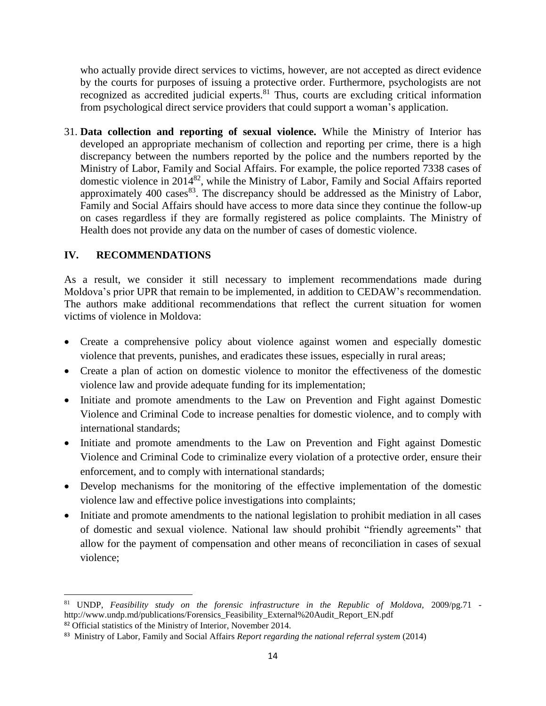who actually provide direct services to victims, however, are not accepted as direct evidence by the courts for purposes of issuing a protective order. Furthermore, psychologists are not recognized as accredited judicial experts.<sup>81</sup> Thus, courts are excluding critical information from psychological direct service providers that could support a woman's application.

31. **Data collection and reporting of sexual violence.** While the Ministry of Interior has developed an appropriate mechanism of collection and reporting per crime, there is a high discrepancy between the numbers reported by the police and the numbers reported by the Ministry of Labor, Family and Social Affairs. For example, the police reported 7338 cases of domestic violence in 2014<sup>82</sup>, while the Ministry of Labor, Family and Social Affairs reported approximately  $400 \text{ cases}^{83}$ . The discrepancy should be addressed as the Ministry of Labor, Family and Social Affairs should have access to more data since they continue the follow-up on cases regardless if they are formally registered as police complaints. The Ministry of Health does not provide any data on the number of cases of domestic violence.

### **IV. RECOMMENDATIONS**

As a result, we consider it still necessary to implement recommendations made during Moldova's prior UPR that remain to be implemented, in addition to CEDAW's recommendation. The authors make additional recommendations that reflect the current situation for women victims of violence in Moldova:

- Create a comprehensive policy about violence against women and especially domestic violence that prevents, punishes, and eradicates these issues, especially in rural areas;
- Create a plan of action on domestic violence to monitor the effectiveness of the domestic violence law and provide adequate funding for its implementation;
- Initiate and promote amendments to the Law on Prevention and Fight against Domestic Violence and Criminal Code to increase penalties for domestic violence, and to comply with international standards;
- Initiate and promote amendments to the Law on Prevention and Fight against Domestic Violence and Criminal Code to criminalize every violation of a protective order, ensure their enforcement, and to comply with international standards;
- Develop mechanisms for the monitoring of the effective implementation of the domestic violence law and effective police investigations into complaints;
- Initiate and promote amendments to the national legislation to prohibit mediation in all cases of domestic and sexual violence. National law should prohibit "friendly agreements" that allow for the payment of compensation and other means of reconciliation in cases of sexual violence;

 $\overline{\phantom{a}}$ <sup>81</sup> UNDP, *Feasibility study on the forensic infrastructure in the Republic of Moldova,* 2009/pg.71 http://www.undp.md/publications/Forensics\_Feasibility\_External%20Audit\_Report\_EN.pdf <sup>82</sup> Official statistics of the Ministry of Interior, November 2014.

<sup>83</sup> Ministry of Labor, Family and Social Affairs *Report regarding the national referral system* (2014)